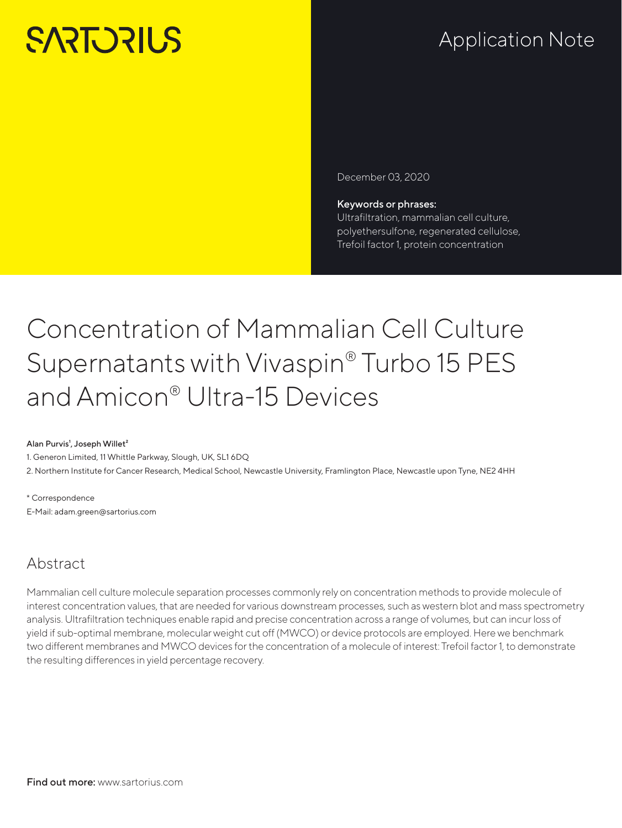# **SARTORILS**

## Application Note

December 03, 2020

#### Keywords or phrases: Ultrafiltration, mammalian cell culture,

polyethersulfone, regenerated cellulose, Trefoil factor 1, protein concentration

## Concentration of Mammalian Cell Culture Supernatants with Vivaspin® Turbo 15 PES and Amicon® Ultra-15 Devices

#### Alan Purvis<sup>1</sup>, Joseph Willet<sup>2</sup>

1. Generon Limited, 11 Whittle Parkway, Slough, UK, SL1 6DQ 2. Northern Institute for Cancer Research, Medical School, Newcastle University, Framlington Place, Newcastle upon Tyne, NE2 4HH

\* Correspondence E-Mail: adam.green@sartorius.com

## Abstract

Mammalian cell culture molecule separation processes commonly rely on concentration methods to provide molecule of interest concentration values, that are needed for various downstream processes, such as western blot and mass spectrometry analysis. Ultrafiltration techniques enable rapid and precise concentration across a range of volumes, but can incur loss of yield if sub-optimal membrane, molecular weight cut off (MWCO) or device protocols are employed. Here we benchmark two different membranes and MWCO devices for the concentration of a molecule of interest: Trefoil factor 1, to demonstrate the resulting differences in yield percentage recovery.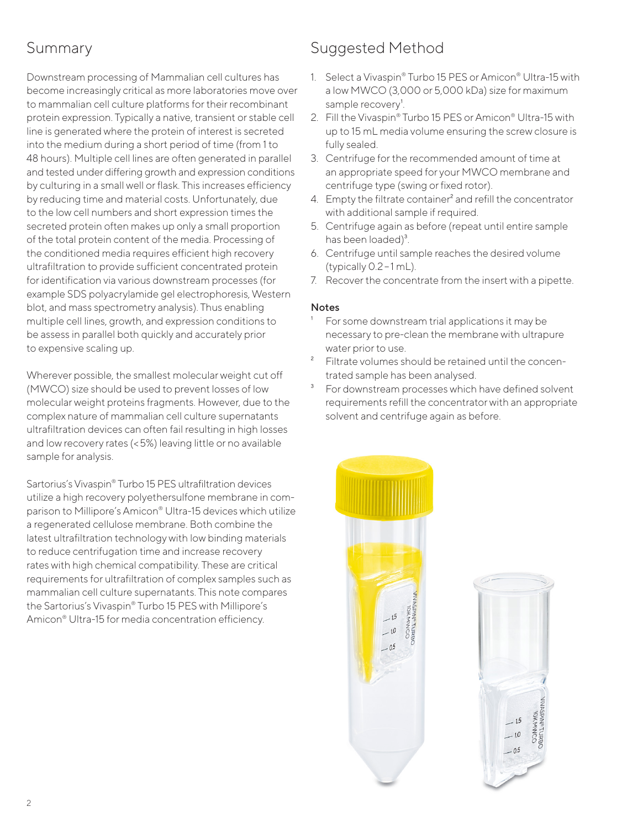## Summary

Downstream processing of Mammalian cell cultures has become increasingly critical as more laboratories move over to mammalian cell culture platforms for their recombinant protein expression. Typically a native, transient or stable cell line is generated where the protein of interest is secreted into the medium during a short period of time (from 1 to 48 hours). Multiple cell lines are often generated in parallel and tested under differing growth and expression conditions by culturing in a small well or flask. This increases efficiency by reducing time and material costs. Unfortunately, due to the low cell numbers and short expression times the secreted protein often makes up only a small proportion of the total protein content of the media. Processing of the conditioned media requires efficient high recovery ultrafiltration to provide sufficient concentrated protein for identification via various downstream processes (for example SDS polyacrylamide gel electrophoresis, Western blot, and mass spectrometry analysis). Thus enabling multiple cell lines, growth, and expression conditions to be assess in parallel both quickly and accurately prior to expensive scaling up.

Wherever possible, the smallest molecular weight cut off (MWCO) size should be used to prevent losses of low molecular weight proteins fragments. However, due to the complex nature of mammalian cell culture supernatants ultrafiltration devices can often fail resulting in high losses and low recovery rates (<5%) leaving little or no available sample for analysis.

Sartorius's Vivaspin® Turbo 15 PES ultrafiltration devices utilize a high recovery polyethersulfone membrane in comparison to Millipore's Amicon® Ultra-15 devices which utilize a regenerated cellulose membrane. Both combine the latest ultrafiltration technology with low binding materials to reduce centrifugation time and increase recovery rates with high chemical compatibility. These are critical requirements for ultrafiltration of complex samples such as mammalian cell culture supernatants. This note compares the Sartorius's Vivaspin® Turbo 15 PES with Millipore's Amicon® Ultra-15 for media concentration efficiency.

## Suggested Method

- 1. Select a Vivaspin® Turbo 15 PES or Amicon® Ultra-15 with a low MWCO (3,000 or 5,000 kDa) size for maximum sample recovery<sup>1</sup>.
- 2. Fill the Vivaspin® Turbo 15 PES or Amicon® Ultra-15 with up to 15 mL media volume ensuring the screw closure is fully sealed.
- 3. Centrifuge for the recommended amount of time at an appropriate speed for your MWCO membrane and centrifuge type (swing or fixed rotor).
- 4. Empty the filtrate container<sup>2</sup> and refill the concentrator with additional sample if required.
- 5. Centrifuge again as before (repeat until entire sample has been loaded)<sup>3</sup>.
- 6. Centrifuge until sample reaches the desired volume (typically  $0.2 - 1$  mL).
- 7. Recover the concentrate from the insert with a pipette.

#### Notes

- For some downstream trial applications it may be necessary to pre-clean the membrane with ultrapure water prior to use.
- ² Filtrate volumes should be retained until the concentrated sample has been analysed.
- <sup>3</sup> For downstream processes which have defined solvent requirements refill the concentrator with an appropriate solvent and centrifuge again as before.



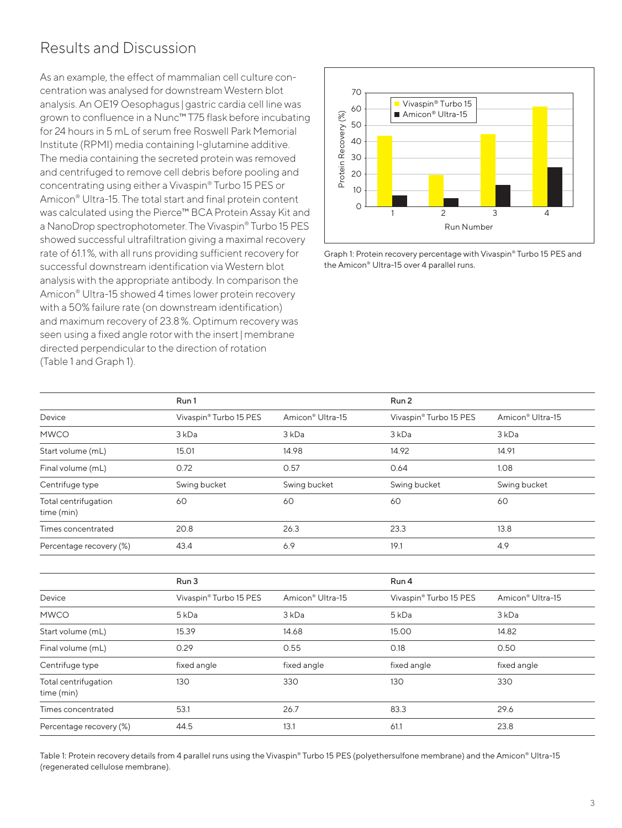## Results and Discussion

As an example, the effect of mammalian cell culture concentration was analysed for downstream Western blot analysis. An OE19 Oesophagus |gastric cardia cell line was grown to confluence in a Nunc™ T75 flask before incubating for 24 hours in 5 mL of serum free Roswell Park Memorial Institute (RPMI) media containing l-glutamine additive. The media containing the secreted protein was removed and centrifuged to remove cell debris before pooling and concentrating using either a Vivaspin® Turbo 15 PES or Amicon® Ultra-15. The total start and final protein content was calculated using the Pierce™ BCA Protein Assay Kit and a NanoDrop spectrophotometer. The Vivaspin® Turbo 15 PES showed successful ultrafiltration giving a maximal recovery rate of 61.1%, with all runs providing sufficient recovery for successful downstream identification via Western blot analysis with the appropriate antibody. In comparison the Amicon® Ultra-15 showed 4 times lower protein recovery with a 50% failure rate (on downstream identification) and maximum recovery of 23.8%. Optimum recovery was seen using a fixed angle rotor with the insert|membrane directed perpendicular to the direction of rotation (Table 1 and Graph 1).



Graph 1: Protein recovery percentage with Vivaspin® Turbo 15 PES and the Amicon® Ultra-15 over 4 parallel runs.

|                                    | Run 1                  |                              | Run 2                  |                              |
|------------------------------------|------------------------|------------------------------|------------------------|------------------------------|
| Device                             | Vivaspin® Turbo 15 PES | Amicon <sup>®</sup> Ultra-15 | Vivaspin® Turbo 15 PES | Amicon <sup>®</sup> Ultra-15 |
| <b>MWCO</b>                        | 3 kDa                  | 3 kDa                        | 3 kDa                  | 3 kDa                        |
| Start volume (mL)                  | 15.01                  | 14.98                        | 14.92                  | 14.91                        |
| Final volume (mL)                  | 0.72                   | 0.57                         | 0.64                   | 1.08                         |
| Centrifuge type                    | Swing bucket           | Swing bucket                 | Swing bucket           | Swing bucket                 |
| Total centrifugation<br>time (min) | 60                     | 60                           | 60                     | 60                           |
| Times concentrated                 | 20.8                   | 26.3                         | 23.3                   | 13.8                         |
| Percentage recovery (%)            | 43.4                   | 6.9                          | 19.1                   | 4.9                          |

|                                    | Run 3                  |                              | Run 4                  |                              |
|------------------------------------|------------------------|------------------------------|------------------------|------------------------------|
| Device                             | Vivaspin® Turbo 15 PES | Amicon <sup>®</sup> Ultra-15 | Vivaspin® Turbo 15 PES | Amicon <sup>®</sup> Ultra-15 |
| <b>MWCO</b>                        | 5 <sub>kDa</sub>       | 3 kDa                        | 5 kDa                  | 3 kDa                        |
| Start volume (mL)                  | 15.39                  | 14.68                        | 15.00                  | 14.82                        |
| Final volume (mL)                  | 0.29                   | 0.55                         | 0.18                   | 0.50                         |
| Centrifuge type                    | fixed angle            | fixed angle                  | fixed angle            | fixed angle                  |
| Total centrifugation<br>time (min) | 130                    | 330                          | 130                    | 330                          |
| Times concentrated                 | 53.1                   | 26.7                         | 83.3                   | 29.6                         |
| Percentage recovery (%)            | 44.5                   | 13.1                         | 61.1                   | 23.8                         |

Table 1: Protein recovery details from 4 parallel runs using the Vivaspin® Turbo 15 PES (polyethersulfone membrane) and the Amicon® Ultra-15 (regenerated cellulose membrane).